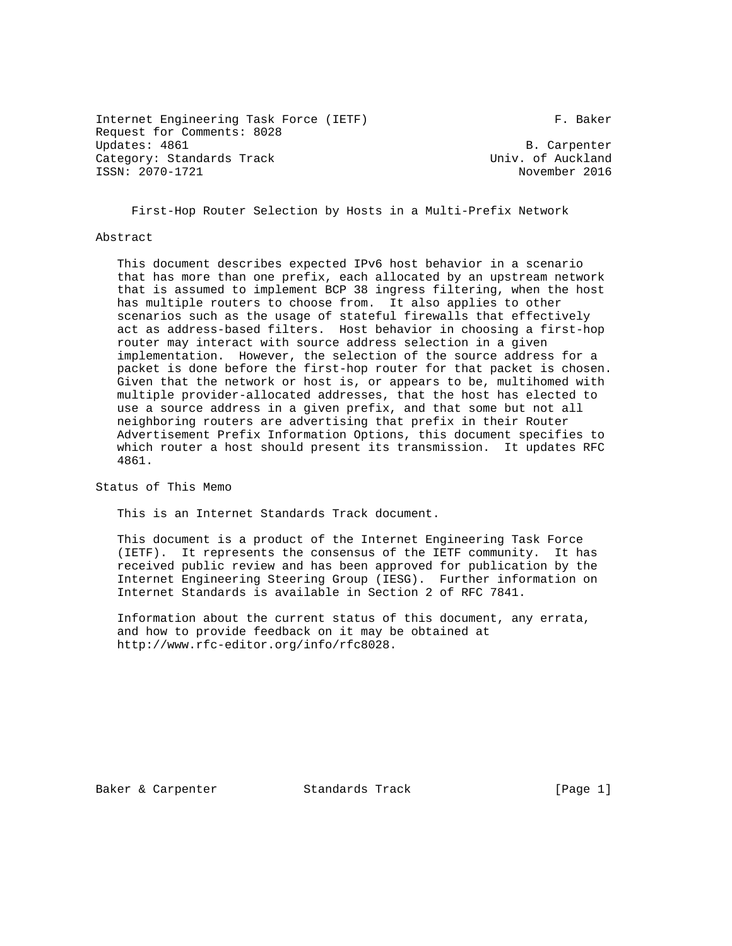Internet Engineering Task Force (IETF) F. Baker Request for Comments: 8028 Updates: 4861 B. Carpenter<br>Category: Standards Track Category: Standards Track Category: Standards Track Univ. of Auckland ISSN: 2070-1721

First-Hop Router Selection by Hosts in a Multi-Prefix Network

Abstract

 This document describes expected IPv6 host behavior in a scenario that has more than one prefix, each allocated by an upstream network that is assumed to implement BCP 38 ingress filtering, when the host has multiple routers to choose from. It also applies to other scenarios such as the usage of stateful firewalls that effectively act as address-based filters. Host behavior in choosing a first-hop router may interact with source address selection in a given implementation. However, the selection of the source address for a packet is done before the first-hop router for that packet is chosen. Given that the network or host is, or appears to be, multihomed with multiple provider-allocated addresses, that the host has elected to use a source address in a given prefix, and that some but not all neighboring routers are advertising that prefix in their Router Advertisement Prefix Information Options, this document specifies to which router a host should present its transmission. It updates RFC 4861.

Status of This Memo

This is an Internet Standards Track document.

 This document is a product of the Internet Engineering Task Force (IETF). It represents the consensus of the IETF community. It has received public review and has been approved for publication by the Internet Engineering Steering Group (IESG). Further information on Internet Standards is available in Section 2 of RFC 7841.

 Information about the current status of this document, any errata, and how to provide feedback on it may be obtained at http://www.rfc-editor.org/info/rfc8028.

Baker & Carpenter Standards Track [Page 1]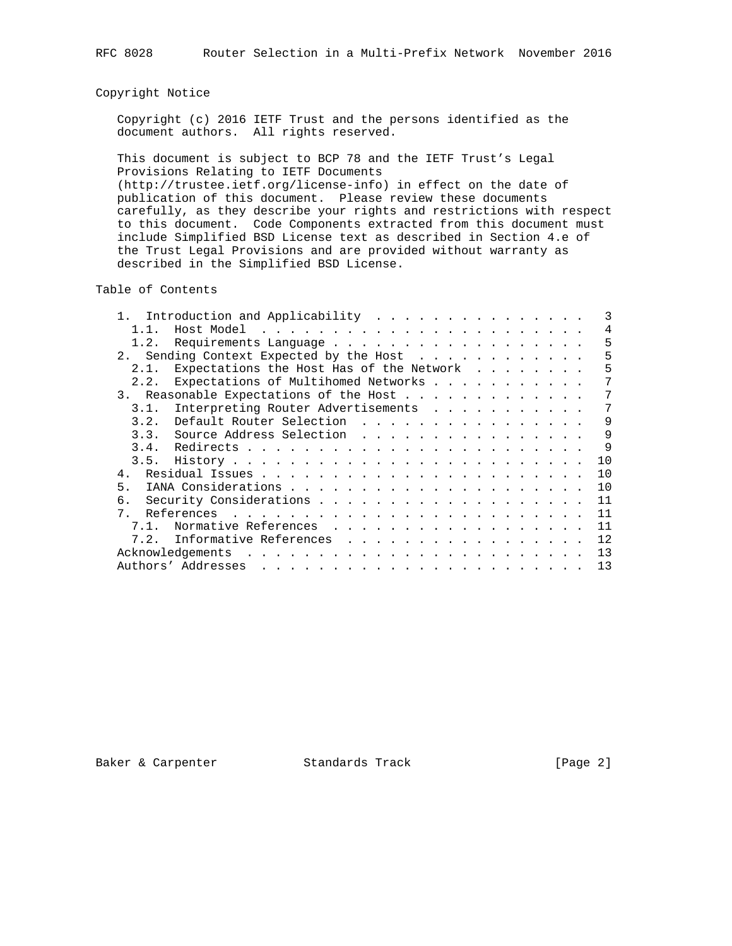# Copyright Notice

 Copyright (c) 2016 IETF Trust and the persons identified as the document authors. All rights reserved.

 This document is subject to BCP 78 and the IETF Trust's Legal Provisions Relating to IETF Documents (http://trustee.ietf.org/license-info) in effect on the date of publication of this document. Please review these documents carefully, as they describe your rights and restrictions with respect to this document. Code Components extracted from this document must include Simplified BSD License text as described in Section 4.e of the Trust Legal Provisions and are provided without warranty as described in the Simplified BSD License.

# Table of Contents

|             | 1. Introduction and Applicability        |  |  |  |  |              |
|-------------|------------------------------------------|--|--|--|--|--------------|
| 1 1         |                                          |  |  |  |  | 4            |
| 1.2.        | Requirements Language                    |  |  |  |  | 5            |
| 2.          | Sending Context Expected by the Host     |  |  |  |  | 5            |
| 2.1.        | Expectations the Host Has of the Network |  |  |  |  | 5            |
| 2.2.        | Expectations of Multihomed Networks      |  |  |  |  | 7            |
|             | 3. Reasonable Expectations of the Host   |  |  |  |  | 7            |
| 3.1.        | Interpreting Router Advertisements       |  |  |  |  | 7            |
| 3.2.        | Default Router Selection                 |  |  |  |  | 9            |
|             | 3.3. Source Address Selection            |  |  |  |  | 9            |
| 3.4.        |                                          |  |  |  |  | $\mathsf{Q}$ |
|             |                                          |  |  |  |  | 10           |
| 4           |                                          |  |  |  |  | 10           |
| 5.          |                                          |  |  |  |  | 10           |
| б.          |                                          |  |  |  |  | 11           |
| $7_{\circ}$ |                                          |  |  |  |  | 11           |
| $7.1$ .     | Normative References                     |  |  |  |  | 11           |
| 7.2.        | Informative References                   |  |  |  |  | 12           |
|             |                                          |  |  |  |  | 13           |
|             |                                          |  |  |  |  | 13           |

Baker & Carpenter **Standards Track** [Page 2]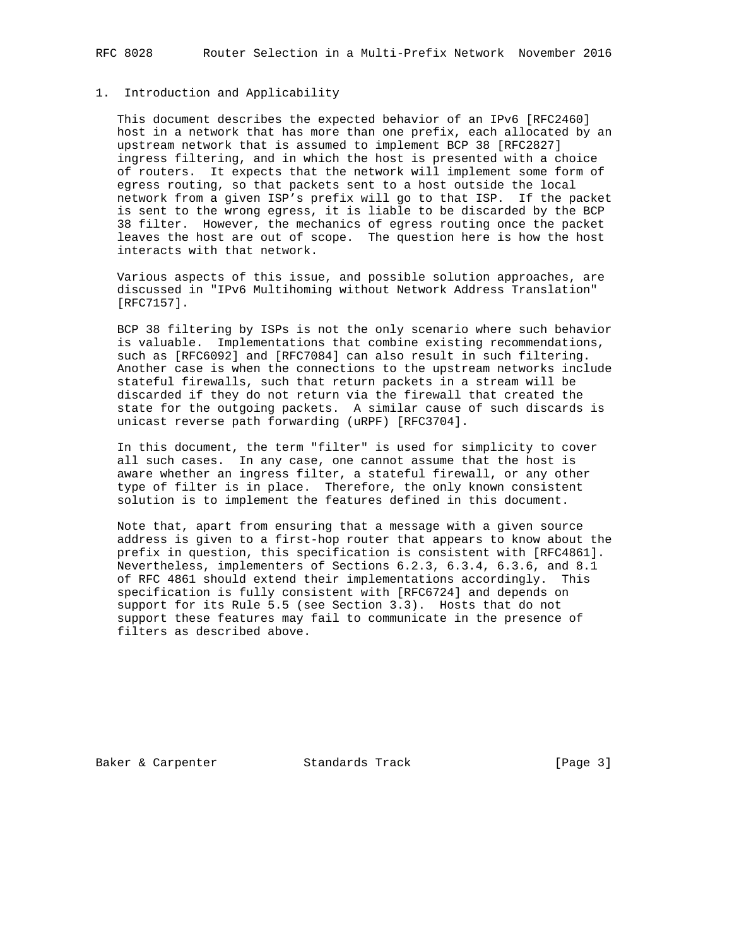## 1. Introduction and Applicability

 This document describes the expected behavior of an IPv6 [RFC2460] host in a network that has more than one prefix, each allocated by an upstream network that is assumed to implement BCP 38 [RFC2827] ingress filtering, and in which the host is presented with a choice of routers. It expects that the network will implement some form of egress routing, so that packets sent to a host outside the local network from a given ISP's prefix will go to that ISP. If the packet is sent to the wrong egress, it is liable to be discarded by the BCP 38 filter. However, the mechanics of egress routing once the packet leaves the host are out of scope. The question here is how the host interacts with that network.

 Various aspects of this issue, and possible solution approaches, are discussed in "IPv6 Multihoming without Network Address Translation" [RFC7157].

 BCP 38 filtering by ISPs is not the only scenario where such behavior is valuable. Implementations that combine existing recommendations, such as [RFC6092] and [RFC7084] can also result in such filtering. Another case is when the connections to the upstream networks include stateful firewalls, such that return packets in a stream will be discarded if they do not return via the firewall that created the state for the outgoing packets. A similar cause of such discards is unicast reverse path forwarding (uRPF) [RFC3704].

 In this document, the term "filter" is used for simplicity to cover all such cases. In any case, one cannot assume that the host is aware whether an ingress filter, a stateful firewall, or any other type of filter is in place. Therefore, the only known consistent solution is to implement the features defined in this document.

 Note that, apart from ensuring that a message with a given source address is given to a first-hop router that appears to know about the prefix in question, this specification is consistent with [RFC4861]. Nevertheless, implementers of Sections 6.2.3, 6.3.4, 6.3.6, and 8.1 of RFC 4861 should extend their implementations accordingly. This specification is fully consistent with [RFC6724] and depends on support for its Rule 5.5 (see Section 3.3). Hosts that do not support these features may fail to communicate in the presence of filters as described above.

Baker & Carpenter Standards Track [Page 3]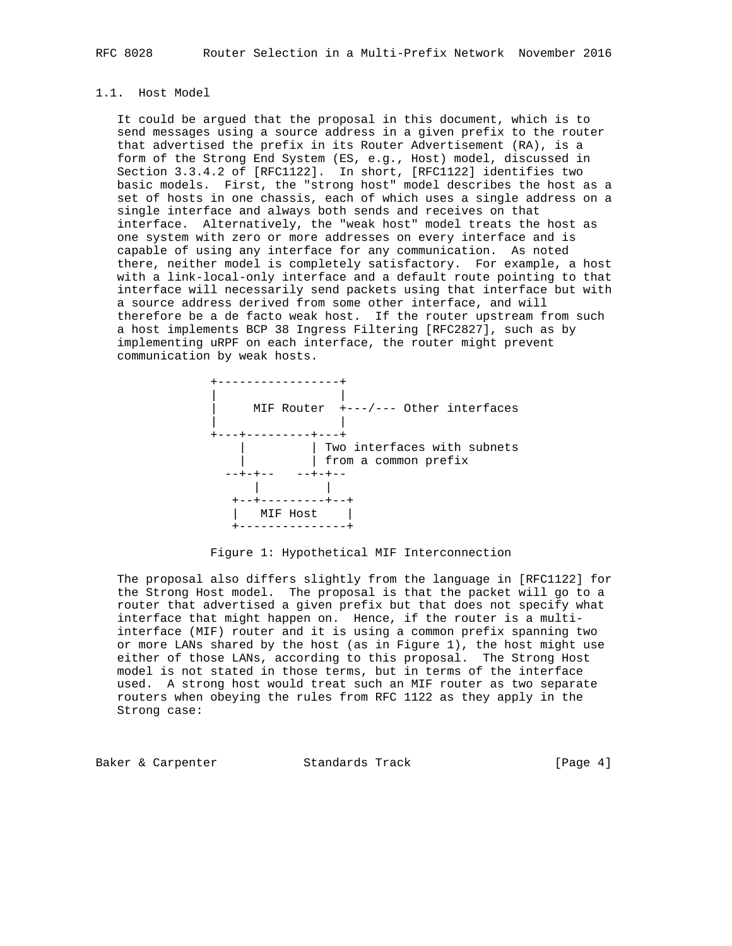# 1.1. Host Model

 It could be argued that the proposal in this document, which is to send messages using a source address in a given prefix to the router that advertised the prefix in its Router Advertisement (RA), is a form of the Strong End System (ES, e.g., Host) model, discussed in Section 3.3.4.2 of [RFC1122]. In short, [RFC1122] identifies two basic models. First, the "strong host" model describes the host as a set of hosts in one chassis, each of which uses a single address on a single interface and always both sends and receives on that interface. Alternatively, the "weak host" model treats the host as one system with zero or more addresses on every interface and is capable of using any interface for any communication. As noted there, neither model is completely satisfactory. For example, a host with a link-local-only interface and a default route pointing to that interface will necessarily send packets using that interface but with a source address derived from some other interface, and will therefore be a de facto weak host. If the router upstream from such a host implements BCP 38 Ingress Filtering [RFC2827], such as by implementing uRPF on each interface, the router might prevent communication by weak hosts.



#### Figure 1: Hypothetical MIF Interconnection

 The proposal also differs slightly from the language in [RFC1122] for the Strong Host model. The proposal is that the packet will go to a router that advertised a given prefix but that does not specify what interface that might happen on. Hence, if the router is a multi interface (MIF) router and it is using a common prefix spanning two or more LANs shared by the host (as in Figure 1), the host might use either of those LANs, according to this proposal. The Strong Host model is not stated in those terms, but in terms of the interface used. A strong host would treat such an MIF router as two separate routers when obeying the rules from RFC 1122 as they apply in the Strong case:

Baker & Carpenter **Standards Track** [Page 4]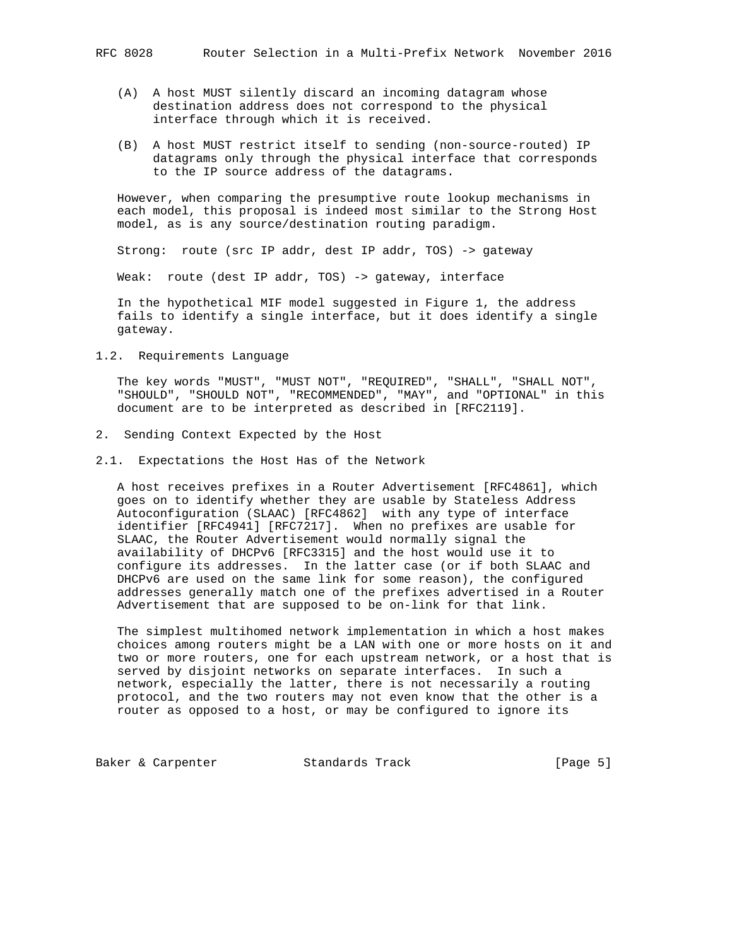- - (A) A host MUST silently discard an incoming datagram whose destination address does not correspond to the physical interface through which it is received.
	- (B) A host MUST restrict itself to sending (non-source-routed) IP datagrams only through the physical interface that corresponds to the IP source address of the datagrams.

 However, when comparing the presumptive route lookup mechanisms in each model, this proposal is indeed most similar to the Strong Host model, as is any source/destination routing paradigm.

Strong: route (src IP addr, dest IP addr, TOS) -> gateway

Weak: route (dest IP addr, TOS) -> gateway, interface

 In the hypothetical MIF model suggested in Figure 1, the address fails to identify a single interface, but it does identify a single gateway.

1.2. Requirements Language

 The key words "MUST", "MUST NOT", "REQUIRED", "SHALL", "SHALL NOT", "SHOULD", "SHOULD NOT", "RECOMMENDED", "MAY", and "OPTIONAL" in this document are to be interpreted as described in [RFC2119].

- 2. Sending Context Expected by the Host
- 2.1. Expectations the Host Has of the Network

 A host receives prefixes in a Router Advertisement [RFC4861], which goes on to identify whether they are usable by Stateless Address Autoconfiguration (SLAAC) [RFC4862] with any type of interface identifier [RFC4941] [RFC7217]. When no prefixes are usable for SLAAC, the Router Advertisement would normally signal the availability of DHCPv6 [RFC3315] and the host would use it to configure its addresses. In the latter case (or if both SLAAC and DHCPv6 are used on the same link for some reason), the configured addresses generally match one of the prefixes advertised in a Router Advertisement that are supposed to be on-link for that link.

 The simplest multihomed network implementation in which a host makes choices among routers might be a LAN with one or more hosts on it and two or more routers, one for each upstream network, or a host that is served by disjoint networks on separate interfaces. In such a network, especially the latter, there is not necessarily a routing protocol, and the two routers may not even know that the other is a router as opposed to a host, or may be configured to ignore its

Baker & Carpenter **Standards Track** [Page 5]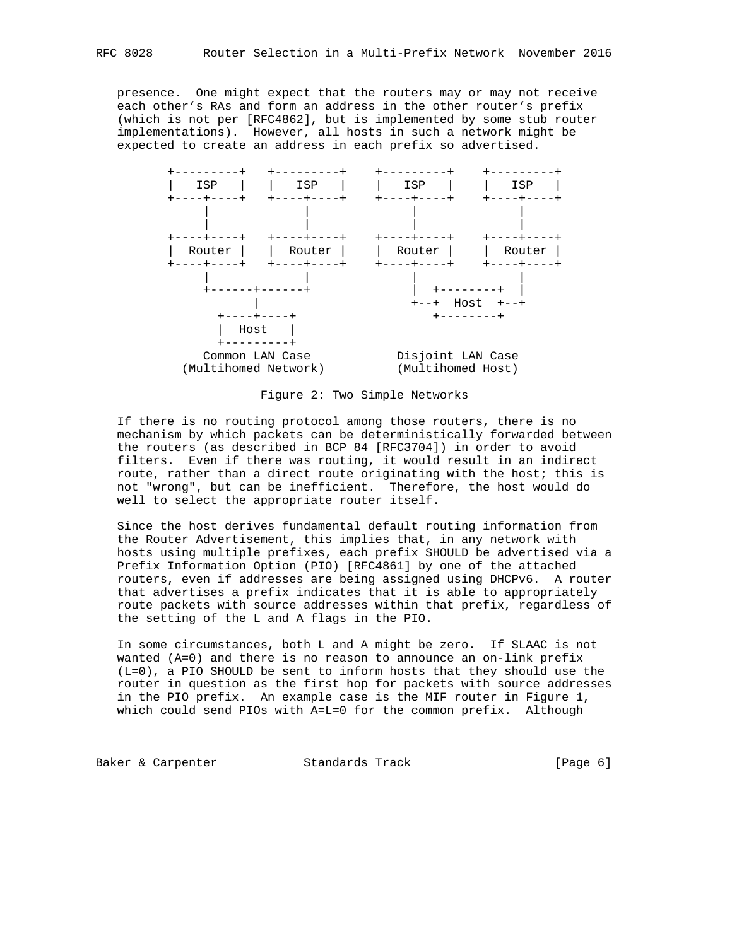presence. One might expect that the routers may or may not receive each other's RAs and form an address in the other router's prefix (which is not per [RFC4862], but is implemented by some stub router implementations). However, all hosts in such a network might be expected to create an address in each prefix so advertised.



Figure 2: Two Simple Networks

 If there is no routing protocol among those routers, there is no mechanism by which packets can be deterministically forwarded between the routers (as described in BCP 84 [RFC3704]) in order to avoid filters. Even if there was routing, it would result in an indirect route, rather than a direct route originating with the host; this is not "wrong", but can be inefficient. Therefore, the host would do well to select the appropriate router itself.

 Since the host derives fundamental default routing information from the Router Advertisement, this implies that, in any network with hosts using multiple prefixes, each prefix SHOULD be advertised via a Prefix Information Option (PIO) [RFC4861] by one of the attached routers, even if addresses are being assigned using DHCPv6. A router that advertises a prefix indicates that it is able to appropriately route packets with source addresses within that prefix, regardless of the setting of the L and A flags in the PIO.

 In some circumstances, both L and A might be zero. If SLAAC is not wanted (A=0) and there is no reason to announce an on-link prefix (L=0), a PIO SHOULD be sent to inform hosts that they should use the router in question as the first hop for packets with source addresses in the PIO prefix. An example case is the MIF router in Figure 1, which could send PIOs with A=L=0 for the common prefix. Although

Baker & Carpenter Standards Track [Page 6]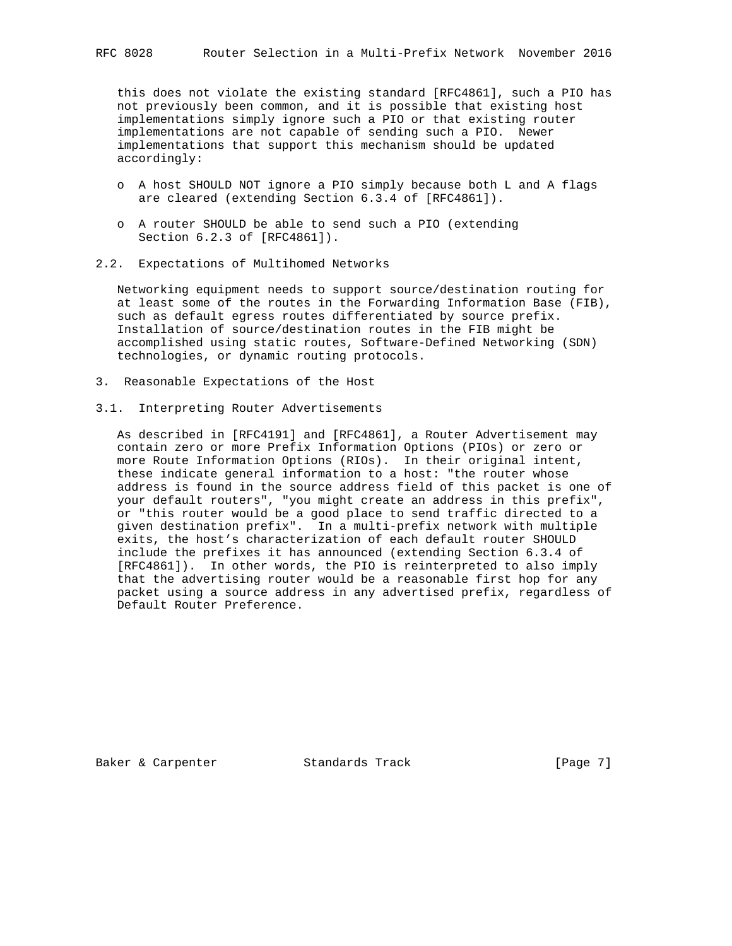this does not violate the existing standard [RFC4861], such a PIO has not previously been common, and it is possible that existing host implementations simply ignore such a PIO or that existing router implementations are not capable of sending such a PIO. Newer implementations that support this mechanism should be updated accordingly:

- o A host SHOULD NOT ignore a PIO simply because both L and A flags are cleared (extending Section 6.3.4 of [RFC4861]).
- o A router SHOULD be able to send such a PIO (extending Section 6.2.3 of [RFC4861]).
- 2.2. Expectations of Multihomed Networks

 Networking equipment needs to support source/destination routing for at least some of the routes in the Forwarding Information Base (FIB), such as default egress routes differentiated by source prefix. Installation of source/destination routes in the FIB might be accomplished using static routes, Software-Defined Networking (SDN) technologies, or dynamic routing protocols.

- 3. Reasonable Expectations of the Host
- 3.1. Interpreting Router Advertisements

 As described in [RFC4191] and [RFC4861], a Router Advertisement may contain zero or more Prefix Information Options (PIOs) or zero or more Route Information Options (RIOs). In their original intent, these indicate general information to a host: "the router whose address is found in the source address field of this packet is one of your default routers", "you might create an address in this prefix", or "this router would be a good place to send traffic directed to a given destination prefix". In a multi-prefix network with multiple exits, the host's characterization of each default router SHOULD include the prefixes it has announced (extending Section 6.3.4 of [RFC4861]). In other words, the PIO is reinterpreted to also imply that the advertising router would be a reasonable first hop for any packet using a source address in any advertised prefix, regardless of Default Router Preference.

Baker & Carpenter **Standards Track** [Page 7]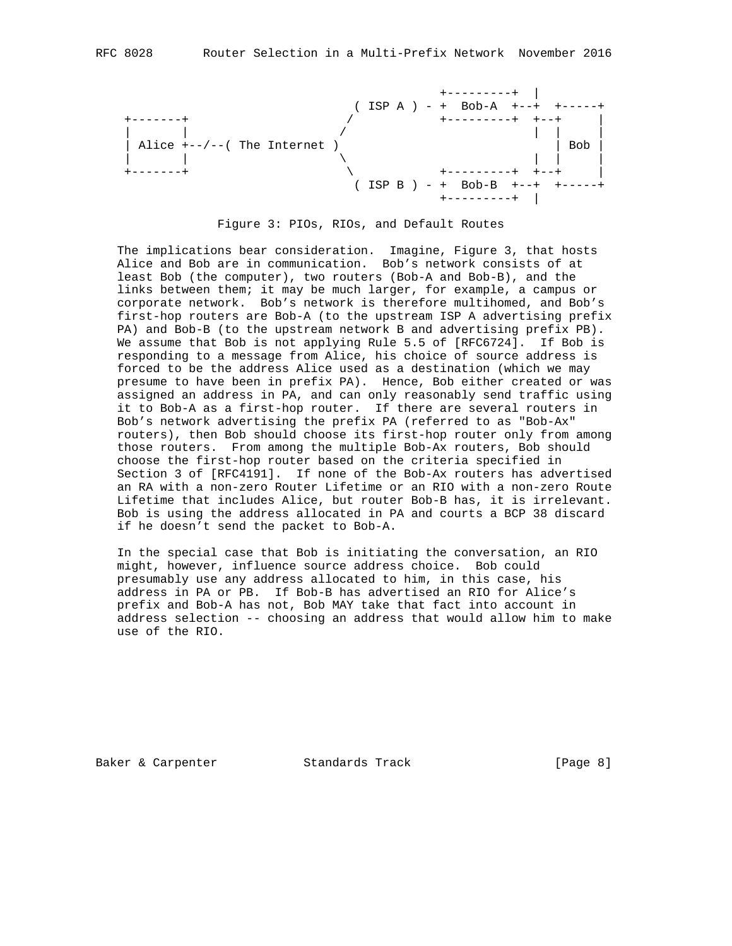

Figure 3: PIOs, RIOs, and Default Routes

 The implications bear consideration. Imagine, Figure 3, that hosts Alice and Bob are in communication. Bob's network consists of at least Bob (the computer), two routers (Bob-A and Bob-B), and the links between them; it may be much larger, for example, a campus or corporate network. Bob's network is therefore multihomed, and Bob's first-hop routers are Bob-A (to the upstream ISP A advertising prefix PA) and Bob-B (to the upstream network B and advertising prefix PB). We assume that Bob is not applying Rule 5.5 of [RFC6724]. If Bob is responding to a message from Alice, his choice of source address is forced to be the address Alice used as a destination (which we may presume to have been in prefix PA). Hence, Bob either created or was assigned an address in PA, and can only reasonably send traffic using it to Bob-A as a first-hop router. If there are several routers in Bob's network advertising the prefix PA (referred to as "Bob-Ax" routers), then Bob should choose its first-hop router only from among those routers. From among the multiple Bob-Ax routers, Bob should choose the first-hop router based on the criteria specified in Section 3 of [RFC4191]. If none of the Bob-Ax routers has advertised an RA with a non-zero Router Lifetime or an RIO with a non-zero Route Lifetime that includes Alice, but router Bob-B has, it is irrelevant. Bob is using the address allocated in PA and courts a BCP 38 discard if he doesn't send the packet to Bob-A.

 In the special case that Bob is initiating the conversation, an RIO might, however, influence source address choice. Bob could presumably use any address allocated to him, in this case, his address in PA or PB. If Bob-B has advertised an RIO for Alice's prefix and Bob-A has not, Bob MAY take that fact into account in address selection -- choosing an address that would allow him to make use of the RIO.

Baker & Carpenter **Standards Track** [Page 8]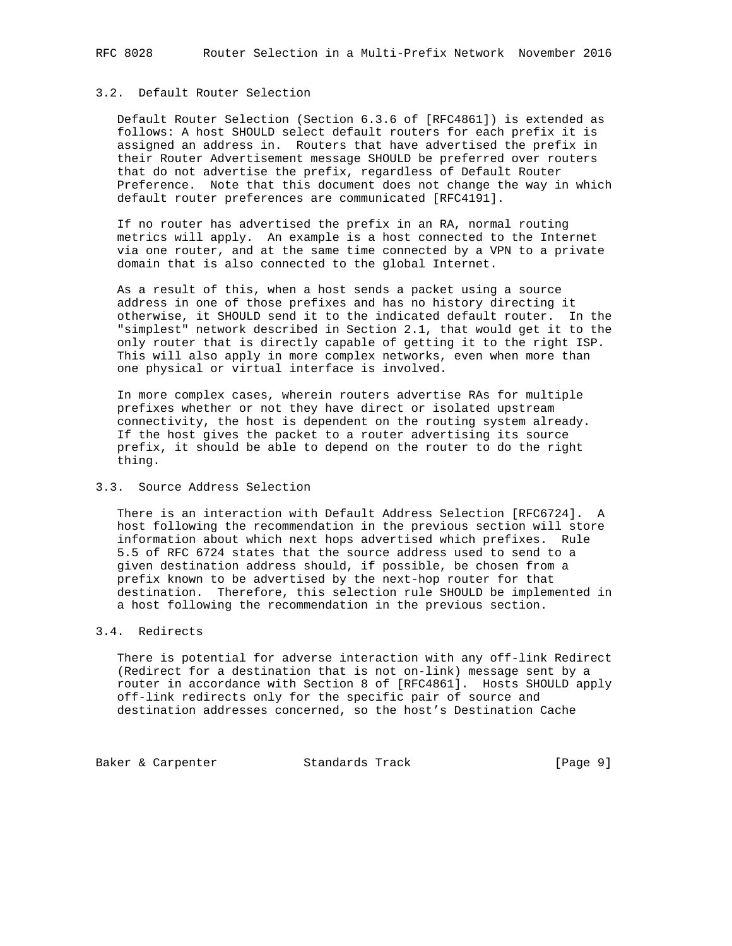# 3.2. Default Router Selection

 Default Router Selection (Section 6.3.6 of [RFC4861]) is extended as follows: A host SHOULD select default routers for each prefix it is assigned an address in. Routers that have advertised the prefix in their Router Advertisement message SHOULD be preferred over routers that do not advertise the prefix, regardless of Default Router Preference. Note that this document does not change the way in which default router preferences are communicated [RFC4191].

 If no router has advertised the prefix in an RA, normal routing metrics will apply. An example is a host connected to the Internet via one router, and at the same time connected by a VPN to a private domain that is also connected to the global Internet.

 As a result of this, when a host sends a packet using a source address in one of those prefixes and has no history directing it otherwise, it SHOULD send it to the indicated default router. In the "simplest" network described in Section 2.1, that would get it to the only router that is directly capable of getting it to the right ISP. This will also apply in more complex networks, even when more than one physical or virtual interface is involved.

 In more complex cases, wherein routers advertise RAs for multiple prefixes whether or not they have direct or isolated upstream connectivity, the host is dependent on the routing system already. If the host gives the packet to a router advertising its source prefix, it should be able to depend on the router to do the right thing.

## 3.3. Source Address Selection

 There is an interaction with Default Address Selection [RFC6724]. A host following the recommendation in the previous section will store information about which next hops advertised which prefixes. Rule 5.5 of RFC 6724 states that the source address used to send to a given destination address should, if possible, be chosen from a prefix known to be advertised by the next-hop router for that destination. Therefore, this selection rule SHOULD be implemented in a host following the recommendation in the previous section.

### 3.4. Redirects

 There is potential for adverse interaction with any off-link Redirect (Redirect for a destination that is not on-link) message sent by a router in accordance with Section 8 of [RFC4861]. Hosts SHOULD apply off-link redirects only for the specific pair of source and destination addresses concerned, so the host's Destination Cache

Baker & Carpenter **Standards Track** [Page 9]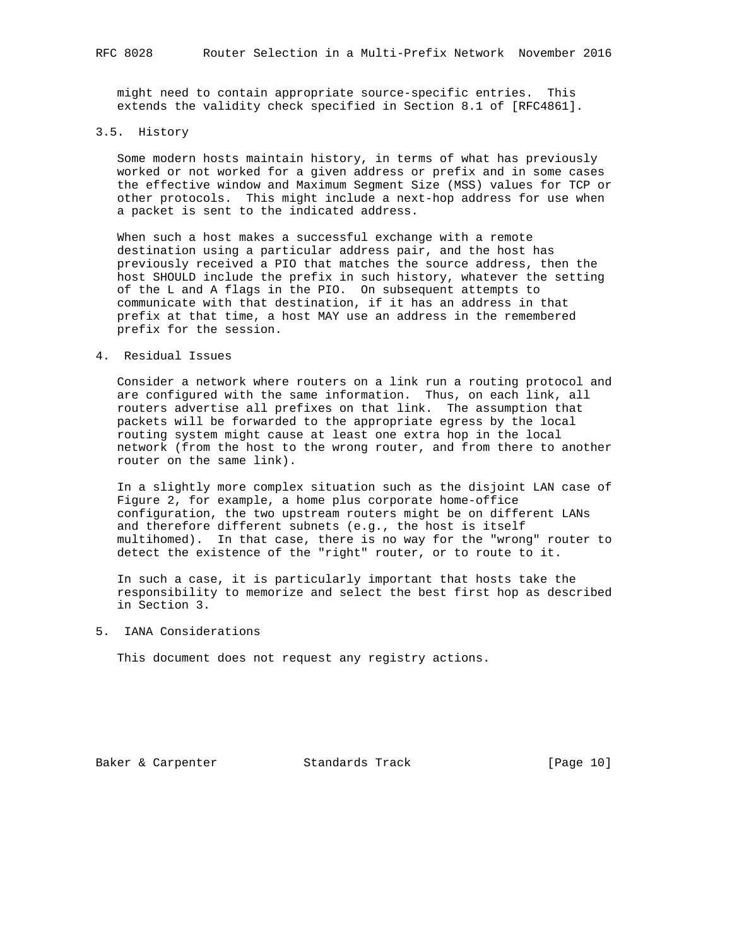might need to contain appropriate source-specific entries. This extends the validity check specified in Section 8.1 of [RFC4861].

# 3.5. History

 Some modern hosts maintain history, in terms of what has previously worked or not worked for a given address or prefix and in some cases the effective window and Maximum Segment Size (MSS) values for TCP or other protocols. This might include a next-hop address for use when a packet is sent to the indicated address.

 When such a host makes a successful exchange with a remote destination using a particular address pair, and the host has previously received a PIO that matches the source address, then the host SHOULD include the prefix in such history, whatever the setting of the L and A flags in the PIO. On subsequent attempts to communicate with that destination, if it has an address in that prefix at that time, a host MAY use an address in the remembered prefix for the session.

#### 4. Residual Issues

 Consider a network where routers on a link run a routing protocol and are configured with the same information. Thus, on each link, all routers advertise all prefixes on that link. The assumption that packets will be forwarded to the appropriate egress by the local routing system might cause at least one extra hop in the local network (from the host to the wrong router, and from there to another router on the same link).

 In a slightly more complex situation such as the disjoint LAN case of Figure 2, for example, a home plus corporate home-office configuration, the two upstream routers might be on different LANs and therefore different subnets (e.g., the host is itself multihomed). In that case, there is no way for the "wrong" router to detect the existence of the "right" router, or to route to it.

 In such a case, it is particularly important that hosts take the responsibility to memorize and select the best first hop as described in Section 3.

5. IANA Considerations

This document does not request any registry actions.

Baker & Carpenter **Standards Track** [Page 10]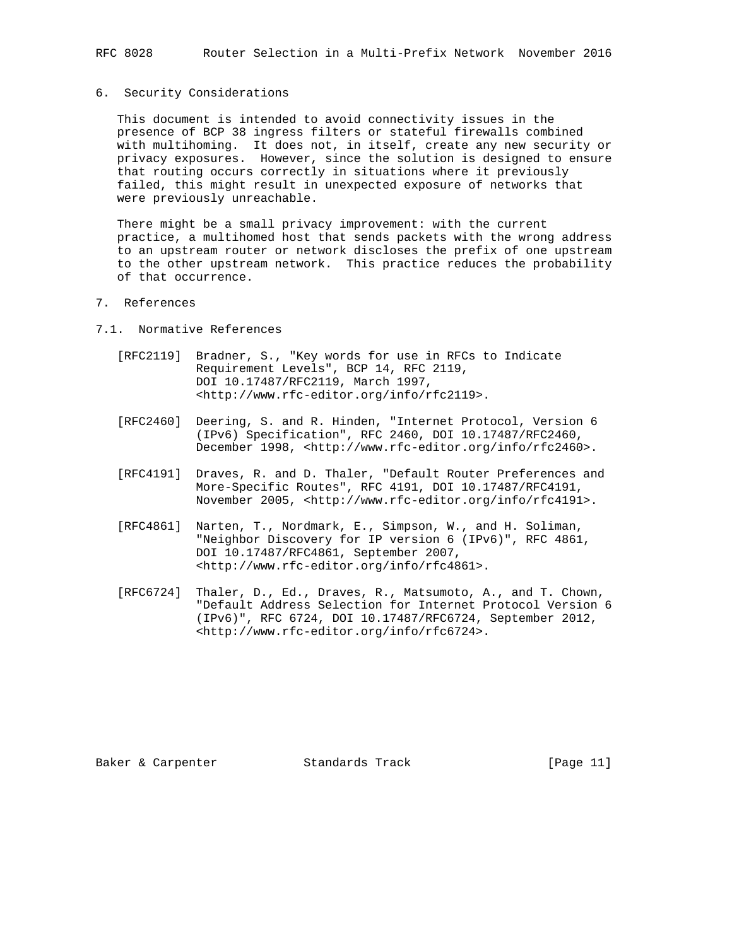#### 6. Security Considerations

 This document is intended to avoid connectivity issues in the presence of BCP 38 ingress filters or stateful firewalls combined with multihoming. It does not, in itself, create any new security or privacy exposures. However, since the solution is designed to ensure that routing occurs correctly in situations where it previously failed, this might result in unexpected exposure of networks that were previously unreachable.

 There might be a small privacy improvement: with the current practice, a multihomed host that sends packets with the wrong address to an upstream router or network discloses the prefix of one upstream to the other upstream network. This practice reduces the probability of that occurrence.

- 7. References
- 7.1. Normative References
	- [RFC2119] Bradner, S., "Key words for use in RFCs to Indicate Requirement Levels", BCP 14, RFC 2119, DOI 10.17487/RFC2119, March 1997, <http://www.rfc-editor.org/info/rfc2119>.
	- [RFC2460] Deering, S. and R. Hinden, "Internet Protocol, Version 6 (IPv6) Specification", RFC 2460, DOI 10.17487/RFC2460, December 1998, <http://www.rfc-editor.org/info/rfc2460>.
	- [RFC4191] Draves, R. and D. Thaler, "Default Router Preferences and More-Specific Routes", RFC 4191, DOI 10.17487/RFC4191, November 2005, <http://www.rfc-editor.org/info/rfc4191>.
	- [RFC4861] Narten, T., Nordmark, E., Simpson, W., and H. Soliman, "Neighbor Discovery for IP version 6 (IPv6)", RFC 4861, DOI 10.17487/RFC4861, September 2007, <http://www.rfc-editor.org/info/rfc4861>.
	- [RFC6724] Thaler, D., Ed., Draves, R., Matsumoto, A., and T. Chown, "Default Address Selection for Internet Protocol Version 6 (IPv6)", RFC 6724, DOI 10.17487/RFC6724, September 2012, <http://www.rfc-editor.org/info/rfc6724>.

Baker & Carpenter Standards Track [Page 11]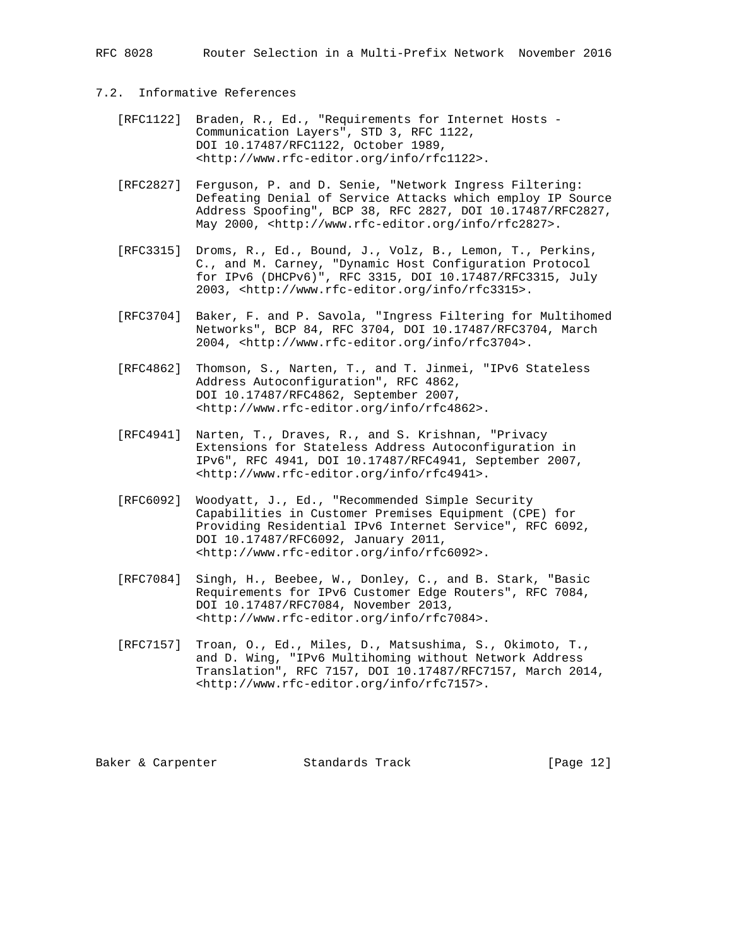RFC 8028 Router Selection in a Multi-Prefix Network November 2016

# 7.2. Informative References

- [RFC1122] Braden, R., Ed., "Requirements for Internet Hosts Communication Layers", STD 3, RFC 1122, DOI 10.17487/RFC1122, October 1989, <http://www.rfc-editor.org/info/rfc1122>.
- [RFC2827] Ferguson, P. and D. Senie, "Network Ingress Filtering: Defeating Denial of Service Attacks which employ IP Source Address Spoofing", BCP 38, RFC 2827, DOI 10.17487/RFC2827, May 2000, <http://www.rfc-editor.org/info/rfc2827>.
- [RFC3315] Droms, R., Ed., Bound, J., Volz, B., Lemon, T., Perkins, C., and M. Carney, "Dynamic Host Configuration Protocol for IPv6 (DHCPv6)", RFC 3315, DOI 10.17487/RFC3315, July 2003, <http://www.rfc-editor.org/info/rfc3315>.
	- [RFC3704] Baker, F. and P. Savola, "Ingress Filtering for Multihomed Networks", BCP 84, RFC 3704, DOI 10.17487/RFC3704, March 2004, <http://www.rfc-editor.org/info/rfc3704>.
	- [RFC4862] Thomson, S., Narten, T., and T. Jinmei, "IPv6 Stateless Address Autoconfiguration", RFC 4862, DOI 10.17487/RFC4862, September 2007, <http://www.rfc-editor.org/info/rfc4862>.
	- [RFC4941] Narten, T., Draves, R., and S. Krishnan, "Privacy Extensions for Stateless Address Autoconfiguration in IPv6", RFC 4941, DOI 10.17487/RFC4941, September 2007, <http://www.rfc-editor.org/info/rfc4941>.
	- [RFC6092] Woodyatt, J., Ed., "Recommended Simple Security Capabilities in Customer Premises Equipment (CPE) for Providing Residential IPv6 Internet Service", RFC 6092, DOI 10.17487/RFC6092, January 2011, <http://www.rfc-editor.org/info/rfc6092>.
	- [RFC7084] Singh, H., Beebee, W., Donley, C., and B. Stark, "Basic Requirements for IPv6 Customer Edge Routers", RFC 7084, DOI 10.17487/RFC7084, November 2013, <http://www.rfc-editor.org/info/rfc7084>.
	- [RFC7157] Troan, O., Ed., Miles, D., Matsushima, S., Okimoto, T., and D. Wing, "IPv6 Multihoming without Network Address Translation", RFC 7157, DOI 10.17487/RFC7157, March 2014, <http://www.rfc-editor.org/info/rfc7157>.

Baker & Carpenter **Standards Track** [Page 12]